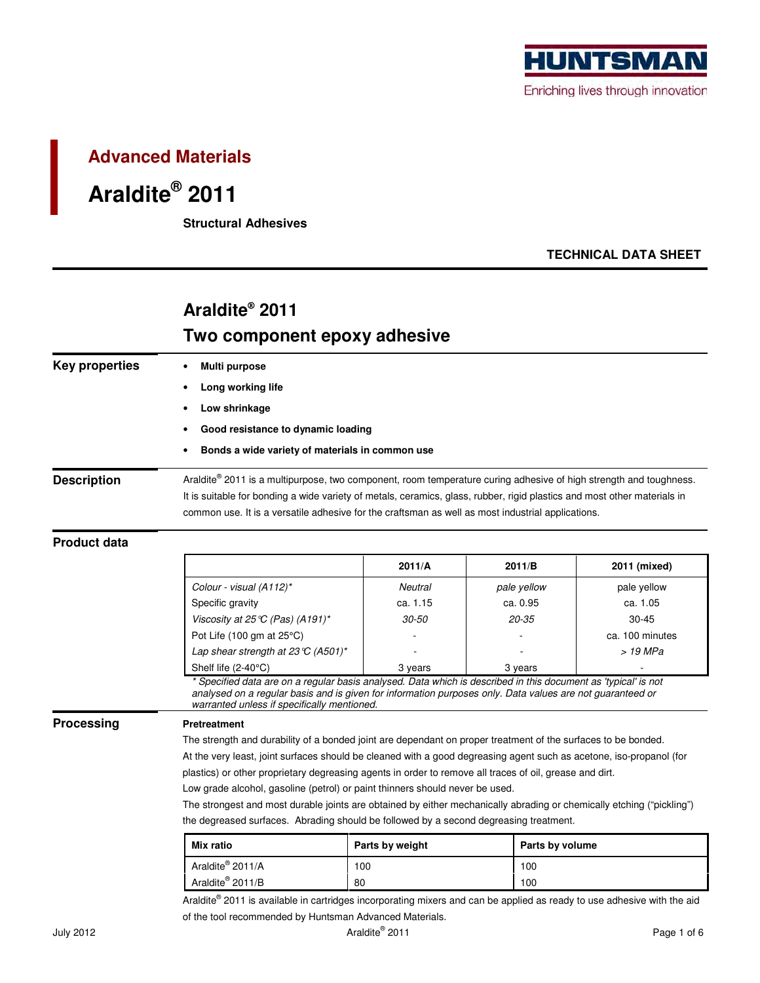

### **Advanced Materials**

# **Araldite® 2011**

 **Structural Adhesives** 

### **TECHNICAL DATA SHEET**

## **Araldite® 2011 Two component epoxy adhesive**

| Key properties     | Multi purpose                                                                                                                                                                                                                                                                                                                                      |  |  |  |  |  |
|--------------------|----------------------------------------------------------------------------------------------------------------------------------------------------------------------------------------------------------------------------------------------------------------------------------------------------------------------------------------------------|--|--|--|--|--|
|                    | Long working life                                                                                                                                                                                                                                                                                                                                  |  |  |  |  |  |
|                    | Low shrinkage                                                                                                                                                                                                                                                                                                                                      |  |  |  |  |  |
|                    | Good resistance to dynamic loading                                                                                                                                                                                                                                                                                                                 |  |  |  |  |  |
|                    | Bonds a wide variety of materials in common use                                                                                                                                                                                                                                                                                                    |  |  |  |  |  |
| <b>Description</b> | Araldite® 2011 is a multipurpose, two component, room temperature curing adhesive of high strength and toughness.<br>It is suitable for bonding a wide variety of metals, ceramics, glass, rubber, rigid plastics and most other materials in<br>common use. It is a versatile adhesive for the craftsman as well as most industrial applications. |  |  |  |  |  |

#### **Product data**

|            |                                                                                                                                                                                                                                                                                                                                                 | 2011/A          | 2011/B          | 2011 (mixed)    |  |
|------------|-------------------------------------------------------------------------------------------------------------------------------------------------------------------------------------------------------------------------------------------------------------------------------------------------------------------------------------------------|-----------------|-----------------|-----------------|--|
|            | Colour - visual (A112)*                                                                                                                                                                                                                                                                                                                         | Neutral         | pale yellow     | pale yellow     |  |
|            | Specific gravity                                                                                                                                                                                                                                                                                                                                | ca. 1.15        | ca. 0.95        | ca. 1.05        |  |
|            | Viscosity at 25 $\mathbb{C}$ (Pas) (A191)*                                                                                                                                                                                                                                                                                                      | $30 - 50$       | $20 - 35$       | $30 - 45$       |  |
|            | Pot Life (100 gm at $25^{\circ}$ C)                                                                                                                                                                                                                                                                                                             |                 |                 | ca. 100 minutes |  |
|            | Lap shear strength at 23 $\mathbb{C}$ (A501)*                                                                                                                                                                                                                                                                                                   |                 |                 | > 19 MPa        |  |
|            | Shelf life $(2-40^{\circ}C)$                                                                                                                                                                                                                                                                                                                    | 3 years         | 3 years         |                 |  |
|            | * Specified data are on a regular basis analysed. Data which is described in this document as 'typical' is not<br>analysed on a regular basis and is given for information purposes only. Data values are not guaranteed or<br>warranted unless if specifically mentioned.                                                                      |                 |                 |                 |  |
| Processing | <b>Pretreatment</b>                                                                                                                                                                                                                                                                                                                             |                 |                 |                 |  |
|            | The strength and durability of a bonded joint are dependant on proper treatment of the surfaces to be bonded.<br>At the very least, joint surfaces should be cleaned with a good degreasing agent such as acetone, iso-propanol (for<br>plastics) or other proprietary degreasing agents in order to remove all traces of oil, grease and dirt. |                 |                 |                 |  |
|            |                                                                                                                                                                                                                                                                                                                                                 |                 |                 |                 |  |
|            |                                                                                                                                                                                                                                                                                                                                                 |                 |                 |                 |  |
|            | Low grade alcohol, gasoline (petrol) or paint thinners should never be used.                                                                                                                                                                                                                                                                    |                 |                 |                 |  |
|            | The strongest and most durable joints are obtained by either mechanically abrading or chemically etching ("pickling")<br>the degreased surfaces. Abrading should be followed by a second degreasing treatment.                                                                                                                                  |                 |                 |                 |  |
|            |                                                                                                                                                                                                                                                                                                                                                 |                 |                 |                 |  |
|            | Mix ratio                                                                                                                                                                                                                                                                                                                                       | Parts by weight | Parts by volume |                 |  |
|            | Araldite <sup>®</sup> 2011/A                                                                                                                                                                                                                                                                                                                    | 100             | 100             |                 |  |
|            | Araldite <sup>®</sup> 2011/B                                                                                                                                                                                                                                                                                                                    | 80              | 100             |                 |  |

Araldite® 2011 is available in cartridges incorporating mixers and can be applied as ready to use adhesive with the aid of the tool recommended by Huntsman Advanced Materials.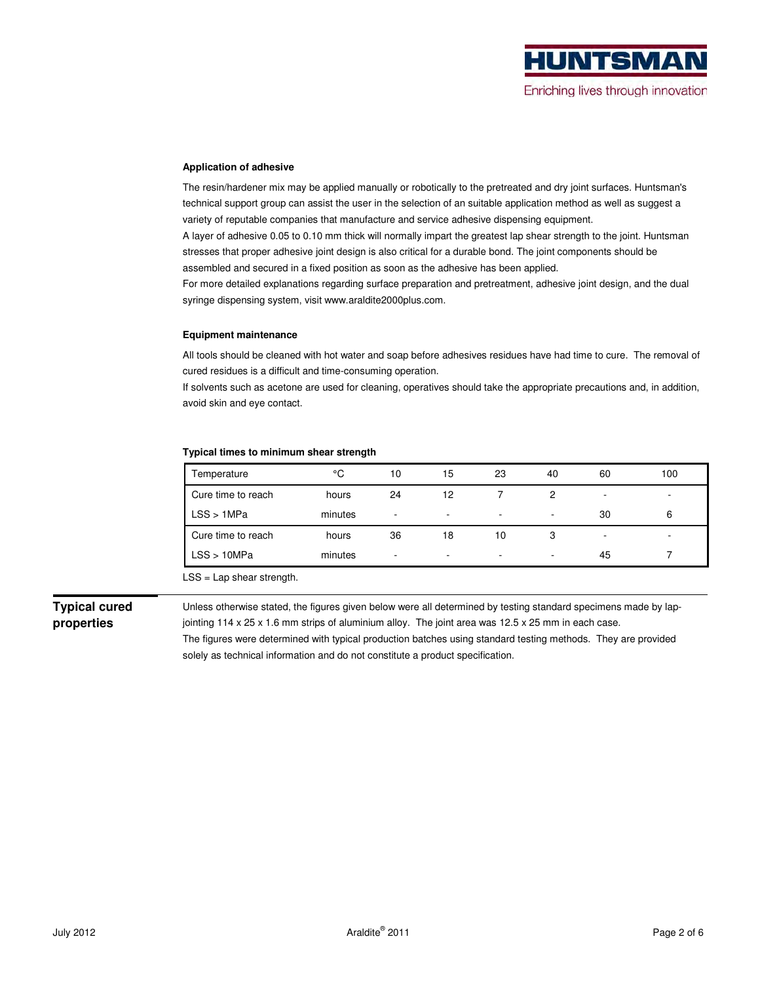#### **Application of adhesive**

The resin/hardener mix may be applied manually or robotically to the pretreated and dry joint surfaces. Huntsman's technical support group can assist the user in the selection of an suitable application method as well as suggest a variety of reputable companies that manufacture and service adhesive dispensing equipment.

A layer of adhesive 0.05 to 0.10 mm thick will normally impart the greatest lap shear strength to the joint. Huntsman stresses that proper adhesive joint design is also critical for a durable bond. The joint components should be assembled and secured in a fixed position as soon as the adhesive has been applied.

For more detailed explanations regarding surface preparation and pretreatment, adhesive joint design, and the dual syringe dispensing system, visit www.araldite2000plus.com.

#### **Equipment maintenance**

All tools should be cleaned with hot water and soap before adhesives residues have had time to cure. The removal of cured residues is a difficult and time-consuming operation.

If solvents such as acetone are used for cleaning, operatives should take the appropriate precautions and, in addition, avoid skin and eye contact.

#### **Typical times to minimum shear strength**

| Temperature        | °C      | 10 | 15 | 23                       | 40 | 60 | 100 |
|--------------------|---------|----|----|--------------------------|----|----|-----|
| Cure time to reach | hours   | 24 | 12 |                          | っ  | ٠  |     |
| LSS > 1MPa         | minutes | ٠  |    | ۰                        |    | 30 | 6   |
| Cure time to reach | hours   | 36 | 18 | 10                       | 3  | ۰  |     |
| LSS > 10MPa        | minutes | ٠  |    | $\overline{\phantom{a}}$ |    | 45 |     |

LSS = Lap shear strength.

**Typical cured properties** 

Unless otherwise stated, the figures given below were all determined by testing standard specimens made by lapjointing 114 x 25 x 1.6 mm strips of aluminium alloy. The joint area was 12.5 x 25 mm in each case. The figures were determined with typical production batches using standard testing methods. They are provided solely as technical information and do not constitute a product specification.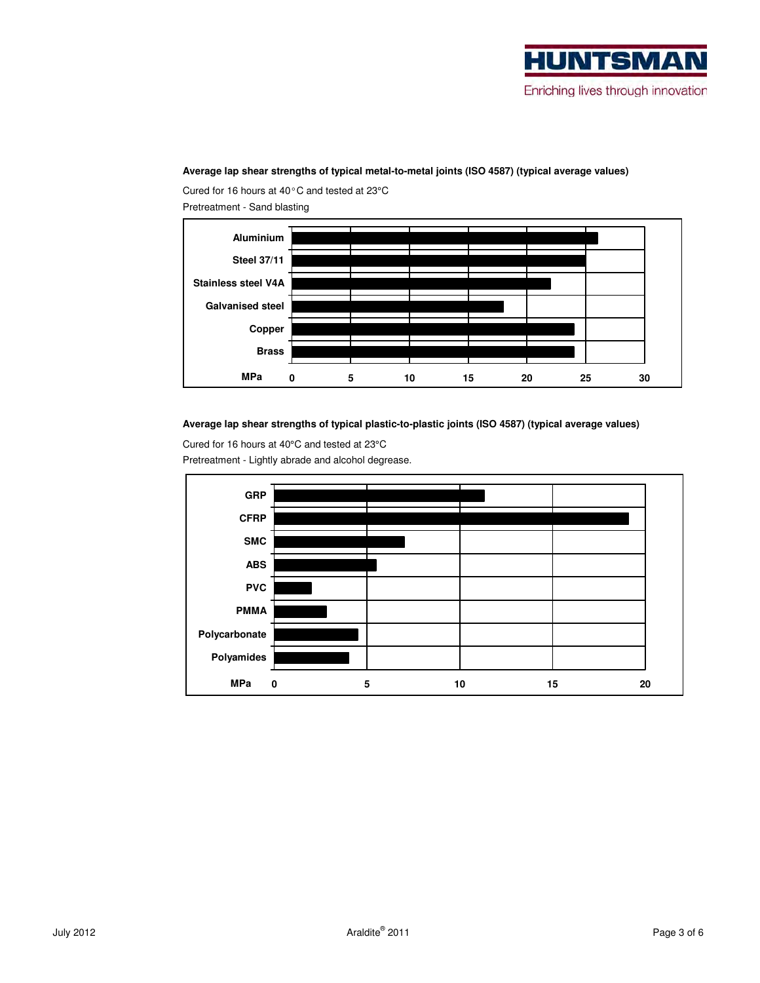

#### **Average lap shear strengths of typical metal-to-metal joints (ISO 4587) (typical average values)**

Cured for 16 hours at 40°C and tested at 23°C Pretreatment - Sand blasting



**Average lap shear strengths of typical plastic-to-plastic joints (ISO 4587) (typical average values)** 

Cured for 16 hours at 40°C and tested at 23°C Pretreatment - Lightly abrade and alcohol degrease.

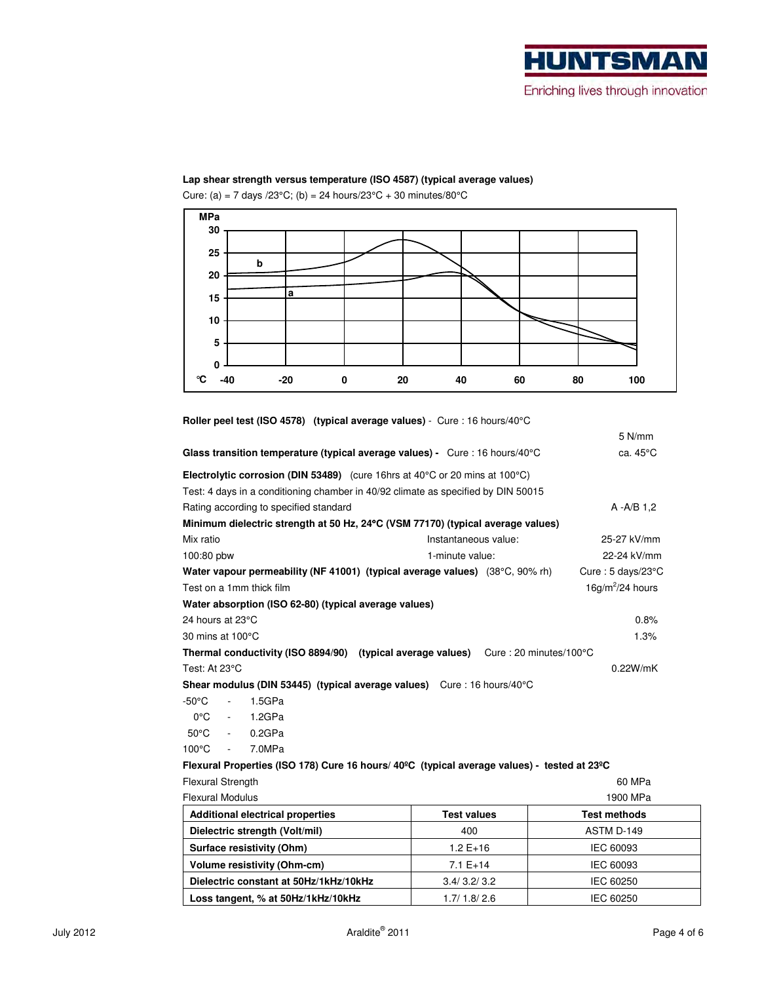#### **Lap shear strength versus temperature (ISO 4587) (typical average values)**

Cure: (a) = 7 days /23°C; (b) = 24 hours/23°C + 30 minutes/80°C



| Roller peel test (ISO 4578) (typical average values) - Cure : 16 hours/40°C                             |                      |                                            |  |  |  |
|---------------------------------------------------------------------------------------------------------|----------------------|--------------------------------------------|--|--|--|
|                                                                                                         |                      | $5$ N/mm                                   |  |  |  |
| Glass transition temperature (typical average values) - Cure : 16 hours/40 $\degree$ C                  | ca. 45°C             |                                            |  |  |  |
| <b>Electrolytic corrosion (DIN 53489)</b> (cure 16hrs at $40^{\circ}$ C or 20 mins at 100 $^{\circ}$ C) |                      |                                            |  |  |  |
| Test: 4 days in a conditioning chamber in 40/92 climate as specified by DIN 50015                       |                      |                                            |  |  |  |
| Rating according to specified standard                                                                  |                      | $A - A/B$ 1.2                              |  |  |  |
| Minimum dielectric strength at 50 Hz, 24°C (VSM 77170) (typical average values)                         |                      |                                            |  |  |  |
| Mix ratio                                                                                               | Instantaneous value: | 25-27 kV/mm                                |  |  |  |
| 100:80 pbw                                                                                              | 1-minute value:      | 22-24 kV/mm                                |  |  |  |
| Water vapour permeability (NF 41001) (typical average values) (38°C, 90% rh)                            |                      | Cure: $5 \text{ days}/23^{\circ} \text{C}$ |  |  |  |
| Test on a 1mm thick film                                                                                |                      | $16g/m^2/24$ hours                         |  |  |  |
| Water absorption (ISO 62-80) (typical average values)                                                   |                      |                                            |  |  |  |
| 24 hours at 23°C                                                                                        |                      | 0.8%                                       |  |  |  |
| 30 mins at 100°C                                                                                        | 1.3%                 |                                            |  |  |  |
| Thermal conductivity (ISO 8894/90) (typical average values) Cure: 20 minutes/100°C                      |                      |                                            |  |  |  |
| Test: At 23°C<br>0.22W/mK                                                                               |                      |                                            |  |  |  |
| Shear modulus (DIN 53445) (typical average values) Cure: 16 hours/40°C                                  |                      |                                            |  |  |  |
| -50°C<br>1.5GPa<br>$\mathcal{L}_{\mathcal{A}}$                                                          |                      |                                            |  |  |  |
| $0^{\circ}$ C<br>1.2GPa<br>$\sim 100$ km s $^{-1}$                                                      |                      |                                            |  |  |  |
| $50^{\circ}$ C<br>0.2GPa<br>$\sim 100$                                                                  |                      |                                            |  |  |  |
| $100^{\circ}$ C<br>7.0MPa<br>$\sim 100$                                                                 |                      |                                            |  |  |  |
| Flexural Properties (ISO 178) Cure 16 hours/ 40°C (typical average values) - tested at 23°C             |                      |                                            |  |  |  |
| <b>Flexural Strength</b><br>60 MPa                                                                      |                      |                                            |  |  |  |
| <b>Flexural Modulus</b>                                                                                 |                      | 1900 MPa                                   |  |  |  |
| <b>Additional electrical properties</b>                                                                 | <b>Test values</b>   | <b>Test methods</b>                        |  |  |  |
| Dielectric strength (Volt/mil)                                                                          | 400                  | ASTM D-149                                 |  |  |  |
|                                                                                                         | 10T10                | I <sub>0</sub>                             |  |  |  |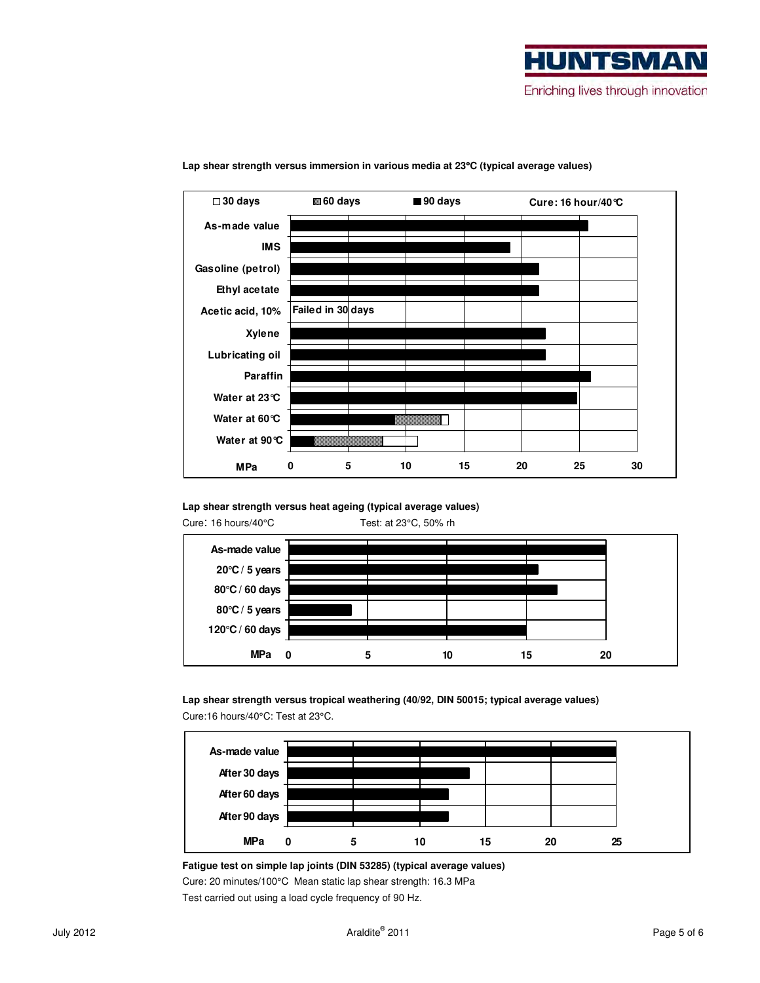



#### **Lap shear strength versus immersion in various media at 23**°**C (typical average values)**

#### **Lap shear strength versus heat ageing (typical average values)**



 **Lap shear strength versus tropical weathering (40/92, DIN 50015; typical average values)**  Cure:16 hours/40°C: Test at 23°C.



#### **Fatigue test on simple lap joints (DIN 53285) (typical average values)**

Cure: 20 minutes/100°C Mean static lap shear strength: 16.3 MPa

Test carried out using a load cycle frequency of 90 Hz.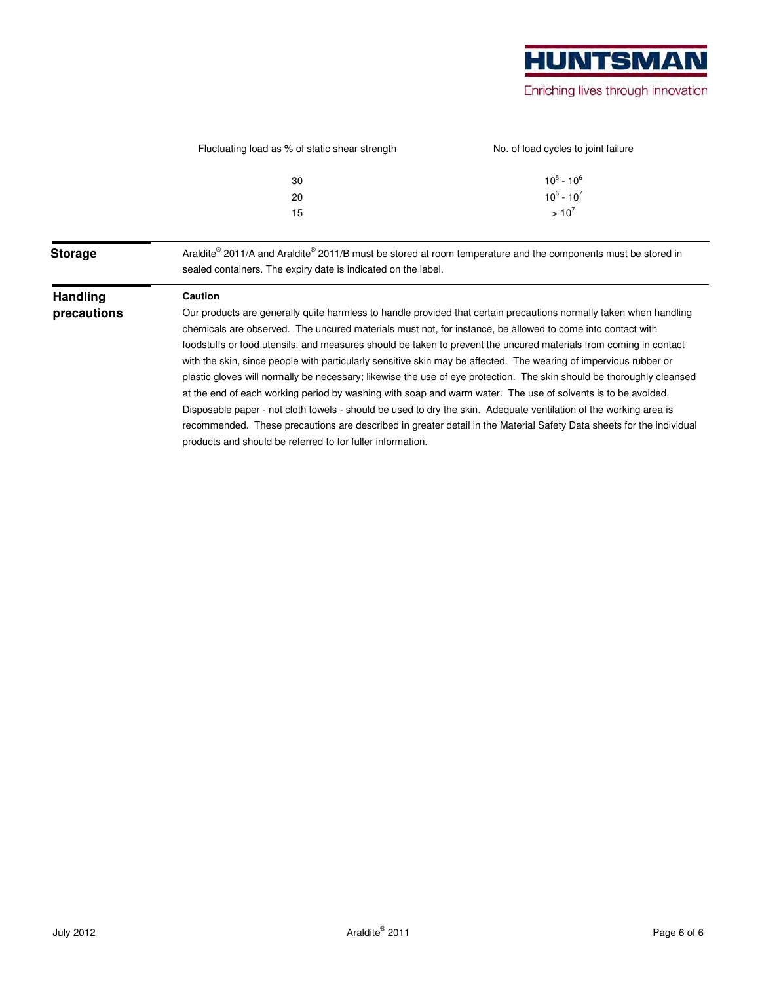|                 | Fluctuating load as % of static shear strength                                                                                                                                 | No. of load cycles to joint failure |  |  |  |
|-----------------|--------------------------------------------------------------------------------------------------------------------------------------------------------------------------------|-------------------------------------|--|--|--|
|                 | 30                                                                                                                                                                             | $10^5 - 10^6$                       |  |  |  |
|                 | 20                                                                                                                                                                             | $10^6 - 10^7$                       |  |  |  |
|                 | 15                                                                                                                                                                             | $> 10^7$                            |  |  |  |
| <b>Storage</b>  | Araldite® 2011/A and Araldite® 2011/B must be stored at room temperature and the components must be stored in<br>sealed containers. The expiry date is indicated on the label. |                                     |  |  |  |
| <b>Handling</b> | <b>Caution</b>                                                                                                                                                                 |                                     |  |  |  |
| precautions     | Our products are generally quite harmless to handle provided that certain precautions normally taken when handling                                                             |                                     |  |  |  |
|                 | chemicals are observed. The uncured materials must not, for instance, be allowed to come into contact with                                                                     |                                     |  |  |  |
|                 | foodstuffs or food utensils, and measures should be taken to prevent the uncured materials from coming in contact                                                              |                                     |  |  |  |
|                 | with the skin, since people with particularly sensitive skin may be affected. The wearing of impervious rubber or                                                              |                                     |  |  |  |
|                 | plastic gloves will normally be necessary; likewise the use of eye protection. The skin should be thoroughly cleansed                                                          |                                     |  |  |  |
|                 | at the end of each working period by washing with soap and warm water. The use of solvents is to be avoided.                                                                   |                                     |  |  |  |
|                 | Disposable paper - not cloth towels - should be used to dry the skin. Adequate ventilation of the working area is                                                              |                                     |  |  |  |
|                 | recommended. These precautions are described in greater detail in the Material Safety Data sheets for the individual                                                           |                                     |  |  |  |
|                 | products and should be referred to for fuller information.                                                                                                                     |                                     |  |  |  |